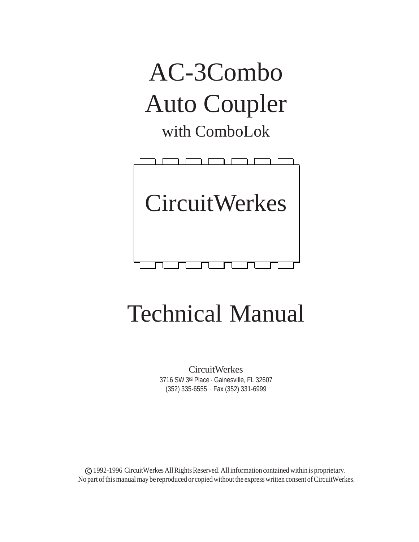



# Technical Manual

CircuitWerkes 3716 SW 3<sup>rd</sup> Place · Gainesville, FL 32607 (352) 335-6555 · Fax (352) 331-6999

c 1992-1996 CircuitWerkes All Rights Reserved. All information contained within is proprietary. No part of this manual may be reproduced or copied without the express written consent of CircuitWerkes.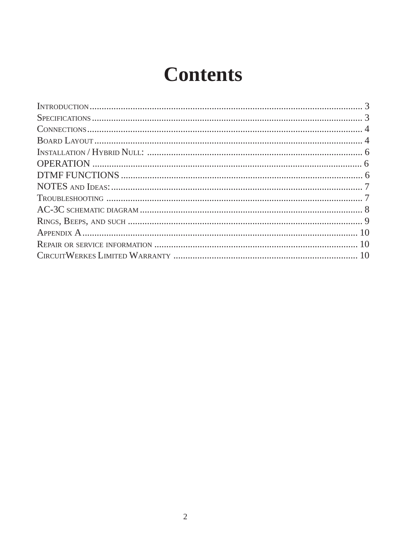## **Contents**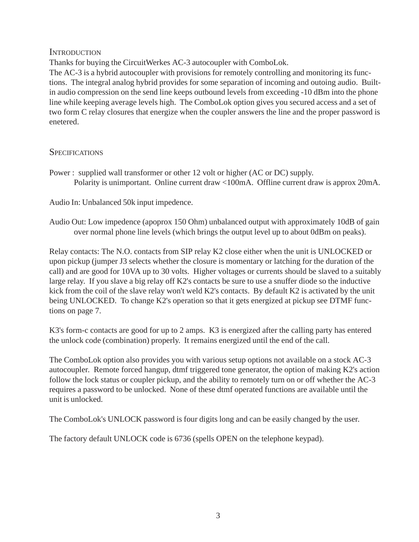#### **INTRODUCTION**

Thanks for buying the CircuitWerkes AC-3 autocoupler with ComboLok.

The AC-3 is a hybrid autocoupler with provisions for remotely controlling and monitoring its functions. The integral analog hybrid provides for some separation of incoming and outoing audio. Builtin audio compression on the send line keeps outbound levels from exceeding -10 dBm into the phone line while keeping average levels high. The ComboLok option gives you secured access and a set of two form C relay closures that energize when the coupler answers the line and the proper password is enetered.

#### **SPECIFICATIONS**

Power : supplied wall transformer or other 12 volt or higher (AC or DC) supply. Polarity is unimportant. Online current draw <100mA. Offline current draw is approx 20mA.

Audio In: Unbalanced 50k input impedence.

Audio Out: Low impedence (apoprox 150 Ohm) unbalanced output with approximately 10dB of gain over normal phone line levels (which brings the output level up to about 0dBm on peaks).

Relay contacts: The N.O. contacts from SIP relay K2 close either when the unit is UNLOCKED or upon pickup (jumper J3 selects whether the closure is momentary or latching for the duration of the call) and are good for 10VA up to 30 volts. Higher voltages or currents should be slaved to a suitably large relay. If you slave a big relay off K2's contacts be sure to use a snuffer diode so the inductive kick from the coil of the slave relay won't weld K2's contacts. By default K2 is activated by the unit being UNLOCKED. To change K2's operation so that it gets energized at pickup see DTMF functions on page 7.

K3's form-c contacts are good for up to 2 amps. K3 is energized after the calling party has entered the unlock code (combination) properly. It remains energized until the end of the call.

The ComboLok option also provides you with various setup options not available on a stock AC-3 autocoupler. Remote forced hangup, dtmf triggered tone generator, the option of making K2's action follow the lock status or coupler pickup, and the ability to remotely turn on or off whether the AC-3 requires a password to be unlocked. None of these dtmf operated functions are available until the unit is unlocked.

The ComboLok's UNLOCK password is four digits long and can be easily changed by the user.

The factory default UNLOCK code is 6736 (spells OPEN on the telephone keypad).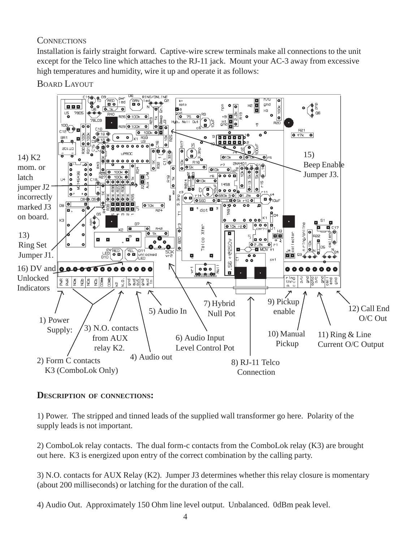#### **CONNECTIONS**

Installation is fairly straight forward. Captive-wire screw terminals make all connections to the unit except for the Telco line which attaches to the RJ-11 jack. Mount your AC-3 away from excessive high temperatures and humidity, wire it up and operate it as follows:

BOARD LAYOUT



#### **DESCRIPTION OF CONNECTIONS:**

1) Power. The stripped and tinned leads of the supplied wall transformer go here. Polarity of the supply leads is not important.

2) ComboLok relay contacts. The dual form-c contacts from the ComboLok relay (K3) are brought out here. K3 is energized upon entry of the correct combination by the calling party.

3) N.O. contacts for AUX Relay (K2). Jumper J3 determines whether this relay closure is momentary (about 200 milliseconds) or latching for the duration of the call.

4) Audio Out. Approximately 150 Ohm line level output. Unbalanced. 0dBm peak level.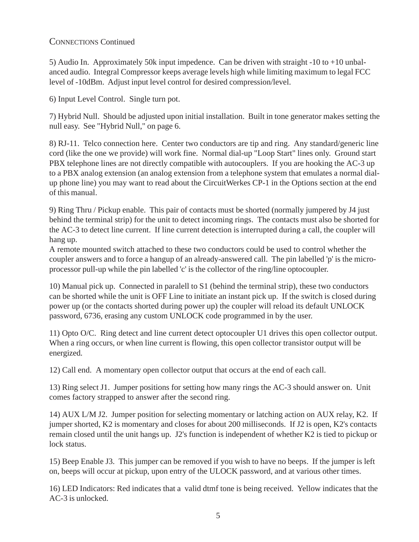#### CONNECTIONS Continued

5) Audio In. Approximately 50k input impedence. Can be driven with straight -10 to +10 unbalanced audio. Integral Compressor keeps average levels high while limiting maximum to legal FCC level of -10dBm. Adjust input level control for desired compression/level.

6) Input Level Control. Single turn pot.

7) Hybrid Null. Should be adjusted upon initial installation. Built in tone generator makes setting the null easy. See "Hybrid Null," on page 6.

8) RJ-11. Telco connection here. Center two conductors are tip and ring. Any standard/generic line cord (like the one we provide) will work fine. Normal dial-up "Loop Start" lines only. Ground start PBX telephone lines are not directly compatible with autocouplers. If you are hooking the AC-3 up to a PBX analog extension (an analog extension from a telephone system that emulates a normal dialup phone line) you may want to read about the CircuitWerkes CP-1 in the Options section at the end of this manual.

9) Ring Thru / Pickup enable. This pair of contacts must be shorted (normally jumpered by J4 just behind the terminal strip) for the unit to detect incoming rings. The contacts must also be shorted for the AC-3 to detect line current. If line current detection is interrupted during a call, the coupler will hang up.

A remote mounted switch attached to these two conductors could be used to control whether the coupler answers and to force a hangup of an already-answered call. The pin labelled 'p' is the microprocessor pull-up while the pin labelled 'c' is the collector of the ring/line optocoupler.

10) Manual pick up. Connected in paralell to S1 (behind the terminal strip), these two conductors can be shorted while the unit is OFF Line to initiate an instant pick up. If the switch is closed during power up (or the contacts shorted during power up) the coupler will reload its default UNLOCK password, 6736, erasing any custom UNLOCK code programmed in by the user.

11) Opto O/C. Ring detect and line current detect optocoupler U1 drives this open collector output. When a ring occurs, or when line current is flowing, this open collector transistor output will be energized.

12) Call end. A momentary open collector output that occurs at the end of each call.

13) Ring select J1. Jumper positions for setting how many rings the AC-3 should answer on. Unit comes factory strapped to answer after the second ring.

14) AUX L/M J2. Jumper position for selecting momentary or latching action on AUX relay, K2. If jumper shorted, K2 is momentary and closes for about 200 milliseconds. If J2 is open, K2's contacts remain closed until the unit hangs up. J2's function is independent of whether K2 is tied to pickup or lock status.

15) Beep Enable J3. This jumper can be removed if you wish to have no beeps. If the jumper is left on, beeps will occur at pickup, upon entry of the ULOCK password, and at various other times.

16) LED Indicators: Red indicates that a valid dtmf tone is being received. Yellow indicates that the AC-3 is unlocked.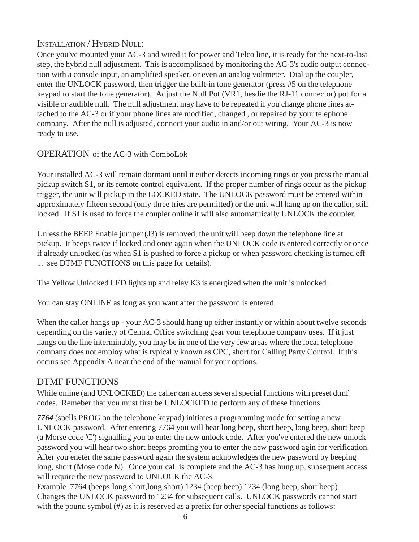#### INSTALLATION / HYBRID NULL:

Once you've mounted your AC-3 and wired it for power and Telco line, it is ready for the next-to-last step, the hybrid null adjustment. This is accomplished by monitoring the AC-3's audio output connection with a console input, an amplified speaker, or even an analog voltmeter. Dial up the coupler, enter the UNLOCK password, then trigger the built-in tone generator (press #5 on the telephone keypad to start the tone generator). Adjust the Null Pot (VR1, besdie the RJ-11 connector) pot for a visible or audible null. The null adjustment may have to be repeated if you change phone lines attached to the AC-3 or if your phone lines are modified, changed , or repaired by your telephone company. After the null is adjusted, connect your audio in and/or out wiring. Your AC-3 is now ready to use.

#### OPERATION of the AC-3 with ComboLok

Your installed AC-3 will remain dormant until it either detects incoming rings or you press the manual pickup switch S1, or its remote control equivalent. If the proper number of rings occur as the pickup trigger, the unit will pickup in the LOCKED state. The UNLOCK password must be entered within approximately fifteen second (only three tries are permitted) or the unit will hang up on the caller, still locked. If S1 is used to force the coupler online it will also automatuically UNLOCK the coupler.

Unless the BEEP Enable jumper (J3) is removed, the unit will beep down the telephone line at pickup. It beeps twice if locked and once again when the UNLOCK code is entered correctly or once if already unlocked (as when S1 is pushed to force a pickup or when password checking is turned off ... see DTMF FUNCTIONS on this page for details).

The Yellow Unlocked LED lights up and relay K3 is energized when the unit is unlocked .

You can stay ONLINE as long as you want after the password is entered.

When the caller hangs up - your AC-3 should hang up either instantly or within about twelve seconds depending on the variety of Central Office switching gear your telephone company uses. If it just hangs on the line interminably, you may be in one of the very few areas where the local telephone company does not employ what is typically known as CPC, short for Calling Party Control. If this occurs see Appendix A near the end of the manual for your options.

#### DTMF FUNCTIONS

While online (and UNLOCKED) the caller can access several special functions with preset dtmf codes. Remeber that you must first be UNLOCKED to perform any of these functions.

*7764* (spells PROG on the telephone keypad) initiates a programming mode for setting a new UNLOCK password. After entering 7764 you will hear long beep, short beep, long beep, short beep (a Morse code 'C') signalling you to enter the new unlock code. After you've entered the new unlock password you will hear two short beeps promting you to enter the new password agin for verification. After you eneter the same password again the system acknowledges the new password by beeping long, short (Mose code N). Once your call is complete and the AC-3 has hung up, subsequent access will require the new password to UNLOCK the AC-3.

Example 7764 (beeps:long,short,long,short) 1234 (beep beep) 1234 (long beep, short beep) Changes the UNLOCK password to 1234 for subsequent calls. UNLOCK passwords cannot start with the pound symbol (#) as it is reserved as a prefix for other special functions as follows: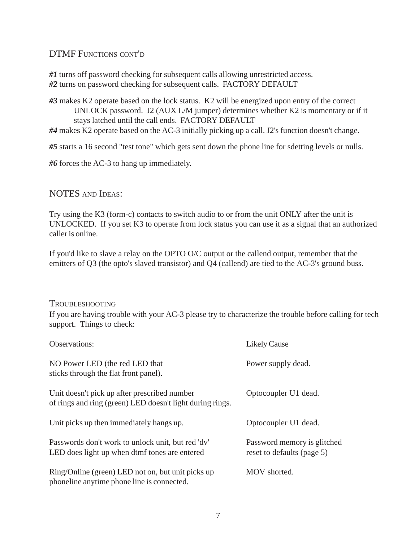#### DTMF FUNCTIONS CONT'D

*#1* turns off password checking for subsequent calls allowing unrestricted access. *#2* turns on password checking for subsequent calls. FACTORY DEFAULT

*#3* makes K2 operate based on the lock status. K2 will be energized upon entry of the correct UNLOCK password. J2 (AUX L/M jumper) determines whether K2 is momentary or if it stays latched until the call ends. FACTORY DEFAULT

*#4* makes K2 operate based on the AC-3 initially picking up a call. J2's function doesn't change.

*#5* starts a 16 second "test tone" which gets sent down the phone line for sdetting levels or nulls.

*#6* forces the AC-3 to hang up immediately.

#### NOTES AND IDEAS:

Try using the K3 (form-c) contacts to switch audio to or from the unit ONLY after the unit is UNLOCKED. If you set K3 to operate from lock status you can use it as a signal that an authorized caller is online.

If you'd like to slave a relay on the OPTO O/C output or the callend output, remember that the emitters of Q3 (the opto's slaved transistor) and Q4 (callend) are tied to the AC-3's ground buss.

#### TROUBLESHOOTING

If you are having trouble with your AC-3 please try to characterize the trouble before calling for tech support. Things to check:

| Observations:                                                                                             | <b>Likely Cause</b>                                       |
|-----------------------------------------------------------------------------------------------------------|-----------------------------------------------------------|
| NO Power LED (the red LED that<br>sticks through the flat front panel).                                   | Power supply dead.                                        |
| Unit doesn't pick up after prescribed number<br>of rings and ring (green) LED doesn't light during rings. | Optocoupler U1 dead.                                      |
| Unit picks up then immediately hangs up.                                                                  | Optocoupler U1 dead.                                      |
| Passwords don't work to unlock unit, but red 'dy'<br>LED does light up when dtmf tones are entered        | Password memory is glitched<br>reset to defaults (page 5) |
| Ring/Online (green) LED not on, but unit picks up<br>phoneline anytime phone line is connected.           | MOV shorted.                                              |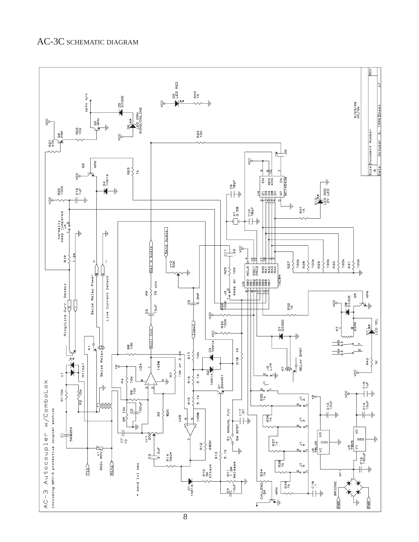

8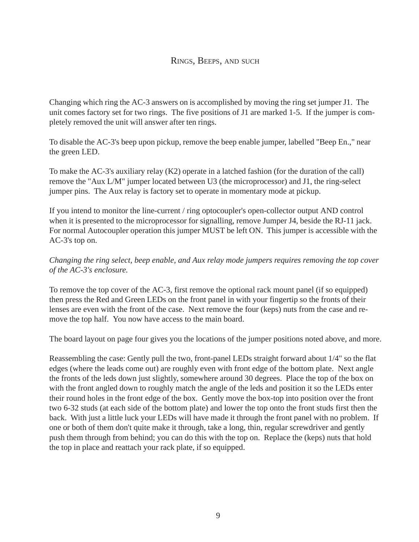Changing which ring the AC-3 answers on is accomplished by moving the ring set jumper J1. The unit comes factory set for two rings. The five positions of J1 are marked 1-5. If the jumper is completely removed the unit will answer after ten rings.

To disable the AC-3's beep upon pickup, remove the beep enable jumper, labelled "Beep En.," near the green LED.

To make the AC-3's auxiliary relay (K2) operate in a latched fashion (for the duration of the call) remove the "Aux L/M" jumper located between U3 (the microprocessor) and J1, the ring-select jumper pins. The Aux relay is factory set to operate in momentary mode at pickup.

If you intend to monitor the line-current / ring optocoupler's open-collector output AND control when it is presented to the microprocessor for signalling, remove Jumper J4, beside the RJ-11 jack. For normal Autocoupler operation this jumper MUST be left ON. This jumper is accessible with the AC-3's top on.

*Changing the ring select, beep enable, and Aux relay mode jumpers requires removing the top cover of the AC-3's enclosure.*

To remove the top cover of the AC-3, first remove the optional rack mount panel (if so equipped) then press the Red and Green LEDs on the front panel in with your fingertip so the fronts of their lenses are even with the front of the case. Next remove the four (keps) nuts from the case and remove the top half. You now have access to the main board.

The board layout on page four gives you the locations of the jumper positions noted above, and more.

Reassembling the case: Gently pull the two, front-panel LEDs straight forward about 1/4" so the flat edges (where the leads come out) are roughly even with front edge of the bottom plate. Next angle the fronts of the leds down just slightly, somewhere around 30 degrees. Place the top of the box on with the front angled down to roughly match the angle of the leds and position it so the LEDs enter their round holes in the front edge of the box. Gently move the box-top into position over the front two 6-32 studs (at each side of the bottom plate) and lower the top onto the front studs first then the back. With just a little luck your LEDs will have made it through the front panel with no problem. If one or both of them don't quite make it through, take a long, thin, regular screwdriver and gently push them through from behind; you can do this with the top on. Replace the (keps) nuts that hold the top in place and reattach your rack plate, if so equipped.